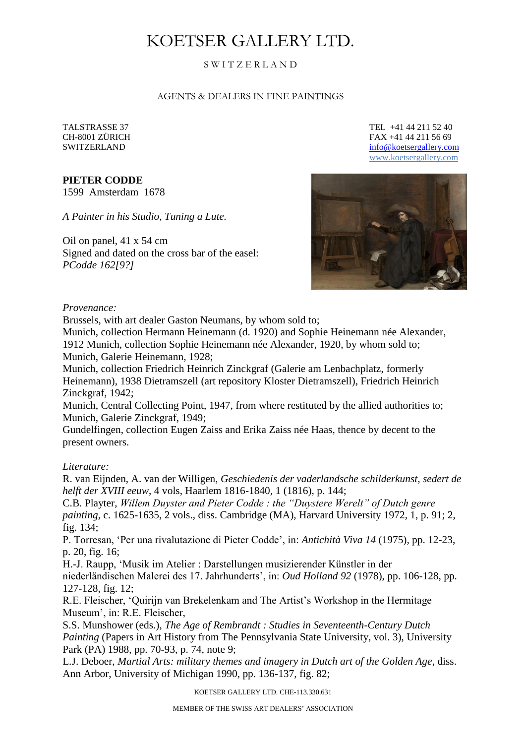# KOETSER GALLERY LTD.

## S W I T Z E R L A N D

#### AGENTS & DEALERS IN FINE PAINTINGS

#### **PIETER CODDE**

1599 Amsterdam 1678

*A Painter in his Studio, Tuning a Lute.*

Oil on panel, 41 x 54 cm Signed and dated on the cross bar of the easel: *PCodde 162[9?]*

TALSTRASSE 37 TEL +41 44 211 52 40 CH-8001 ZÜRICH FAX +41 44 211 56 69 SWITZERLAND [info@koetsergallery.com](mailto:info@koetsergallery.com) [www.koetsergallery.com](http://www.koetsergallery.com/)



#### *Provenance:*

Brussels, with art dealer Gaston Neumans, by whom sold to;

Munich, collection Hermann Heinemann (d. 1920) and Sophie Heinemann née Alexander, 1912 Munich, collection Sophie Heinemann née Alexander, 1920, by whom sold to; Munich, Galerie Heinemann, 1928;

Munich, collection Friedrich Heinrich Zinckgraf (Galerie am Lenbachplatz, formerly Heinemann), 1938 Dietramszell (art repository Kloster Dietramszell), Friedrich Heinrich Zinckgraf, 1942;

Munich, Central Collecting Point, 1947, from where restituted by the allied authorities to; Munich, Galerie Zinckgraf, 1949;

Gundelfingen, collection Eugen Zaiss and Erika Zaiss née Haas, thence by decent to the present owners.

#### *Literature:*

R. van Eijnden, A. van der Willigen, *Geschiedenis der vaderlandsche schilderkunst, sedert de helft der XVIII eeuw*, 4 vols, Haarlem 1816-1840, 1 (1816), p. 144;

C.B. Playter, *Willem Duyster and Pieter Codde : the "Duystere Werelt" of Dutch genre painting*, c. 1625-1635, 2 vols., diss. Cambridge (MA), Harvard University 1972, 1, p. 91; 2, fig. 134;

P. Torresan, 'Per una rivalutazione di Pieter Codde', in: *Antichità Viva 14* (1975), pp. 12-23, p. 20, fig. 16;

H.-J. Raupp, 'Musik im Atelier : Darstellungen musizierender Künstler in der niederländischen Malerei des 17. Jahrhunderts', in: *Oud Holland 92* (1978), pp. 106-128, pp. 127-128, fig. 12;

R.E. Fleischer, 'Quirijn van Brekelenkam and The Artist's Workshop in the Hermitage Museum', in: R.E. Fleischer,

S.S. Munshower (eds.), *The Age of Rembrandt : Studies in Seventeenth-Century Dutch Painting* (Papers in Art History from The Pennsylvania State University, vol. 3), University Park (PA) 1988, pp. 70-93, p. 74, note 9;

L.J. Deboer, *Martial Arts: military themes and imagery in Dutch art of the Golden Age*, diss. Ann Arbor, University of Michigan 1990, pp. 136-137, fig. 82;

KOETSER GALLERY LTD. CHE-113.330.631